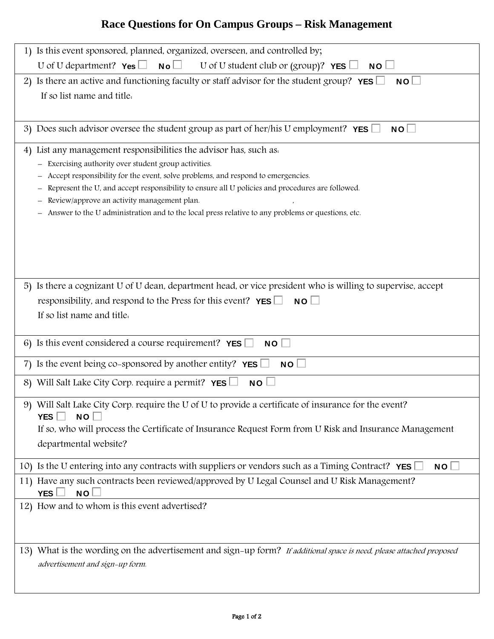## **Race Questions for On Campus Groups – Risk Management**

| 1) Is this event sponsored, planned, organized, overseen, and controlled by;                                                                                                            |
|-----------------------------------------------------------------------------------------------------------------------------------------------------------------------------------------|
| U of U department? $\mathsf{Yes} \square \ \mathsf{No} \square \ \cup \mathsf{Of} \cup \mathsf{student} \text{ club} \text{ or } (\text{group})? \ \mathsf{YES} \square$<br>$NO$ $\Box$ |
| 2) Is there an active and functioning faculty or staff advisor for the student group? $YES$<br>NO                                                                                       |
| If so list name and title.                                                                                                                                                              |
|                                                                                                                                                                                         |
| 3) Does such advisor oversee the student group as part of her/his U employment? $YES$<br>$NO$ $\Box$                                                                                    |
| 4) List any management responsibilities the advisor has, such as.                                                                                                                       |
| Exercising authority over student group activities.                                                                                                                                     |
| Accept responsibility for the event, solve problems, and respond to emergencies.                                                                                                        |
| Represent the U, and accept responsibility to ensure all U policies and procedures are followed.                                                                                        |
| Review/approve an activity management plan.<br>Answer to the U administration and to the local press relative to any problems or questions, etc.                                        |
|                                                                                                                                                                                         |
|                                                                                                                                                                                         |
|                                                                                                                                                                                         |
|                                                                                                                                                                                         |
|                                                                                                                                                                                         |
| 5) Is there a cognizant U of U dean, department head, or vice president who is willing to supervise, accept                                                                             |
| responsibility, and respond to the Press for this event? $YES$<br>$NO$ $\Box$                                                                                                           |
| If so list name and title.                                                                                                                                                              |
|                                                                                                                                                                                         |
| 6) Is this event considered a course requirement? YES $\Box$<br>NO                                                                                                                      |
| 7) Is the event being co-sponsored by another entity? $YES$<br>$NO+$                                                                                                                    |
| 8) Will Salt Lake City Corp. require a permit? $YES$<br><b>NO</b>                                                                                                                       |
| 9) Will Salt Lake City Corp. require the U of U to provide a certificate of insurance for the event?                                                                                    |
| NO<br>YES                                                                                                                                                                               |
| If so, who will process the Certificate of Insurance Request Form from U Risk and Insurance Management                                                                                  |
| departmental website?                                                                                                                                                                   |
| 10) Is the U entering into any contracts with suppliers or vendors such as a Timing Contract? YES<br>NO <sub>1</sub>                                                                    |
| 11) Have any such contracts been reviewed/approved by U Legal Counsel and U Risk Management?<br>$NO+$<br>YES <sup>1</sup>                                                               |
| 12) How and to whom is this event advertised?                                                                                                                                           |
|                                                                                                                                                                                         |
|                                                                                                                                                                                         |
|                                                                                                                                                                                         |
| 13) What is the wording on the advertisement and sign-up form? If additional space is need, please attached proposed                                                                    |
| advertisement and sign-up form.                                                                                                                                                         |
|                                                                                                                                                                                         |